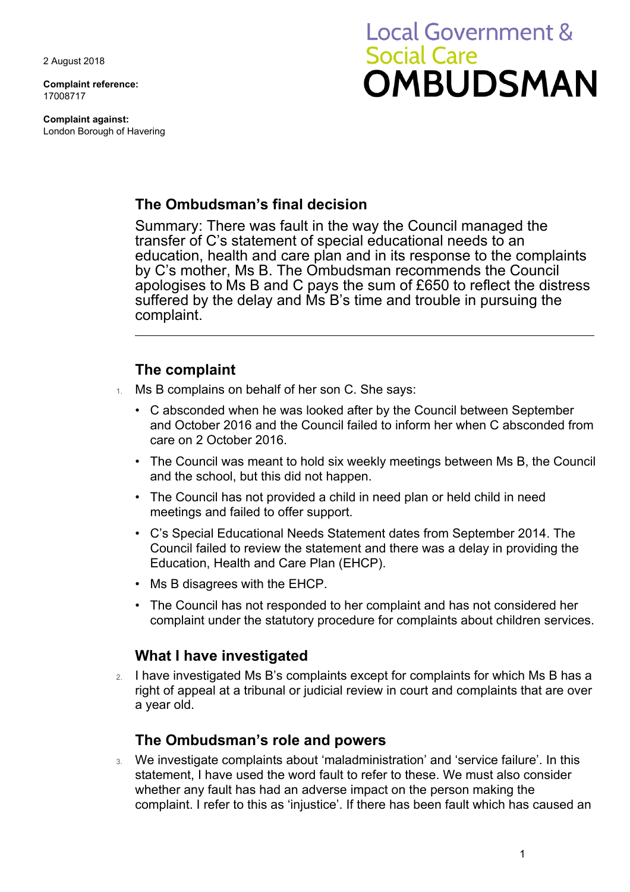2 August 2018

**Complaint reference:**  17008717

**Complaint against:**  London Borough of Havering

# **Local Government & Social Care OMBUDSMAN**

## **The Ombudsman's final decision**

 Summary: There was fault in the way the Council managed the transfer of C's statement of special educational needs to an education, health and care plan and in its response to the complaints by C's mother, Ms B. The Ombudsman recommends the Council apologises to Ms B and C pays the sum of £650 to reflect the distress suffered by the delay and Ms B's time and trouble in pursuing the complaint.

## **The complaint**

- 1. Ms B complains on behalf of her son C. She says:
	- care on 2 October 2016. • C absconded when he was looked after by the Council between September and October 2016 and the Council failed to inform her when C absconded from
	- The Council was meant to hold six weekly meetings between Ms B, the Council and the school, but this did not happen.
	- The Council has not provided a child in need plan or held child in need meetings and failed to offer support.
	- C's Special Educational Needs Statement dates from September 2014. The Council failed to review the statement and there was a delay in providing the Education, Health and Care Plan (EHCP).
	- Ms B disagrees with the EHCP.
	- The Council has not responded to her complaint and has not considered her complaint under the statutory procedure for complaints about children services.

# **What I have investigated**

2. I have investigated Ms B's complaints except for complaints for which Ms B has a right of appeal at a tribunal or judicial review in court and complaints that are over a year old.

## **The Ombudsman's role and powers**

3. We investigate complaints about 'maladministration' and 'service failure'. In this statement, I have used the word fault to refer to these. We must also consider whether any fault has had an adverse impact on the person making the complaint. I refer to this as 'injustice'. If there has been fault which has caused an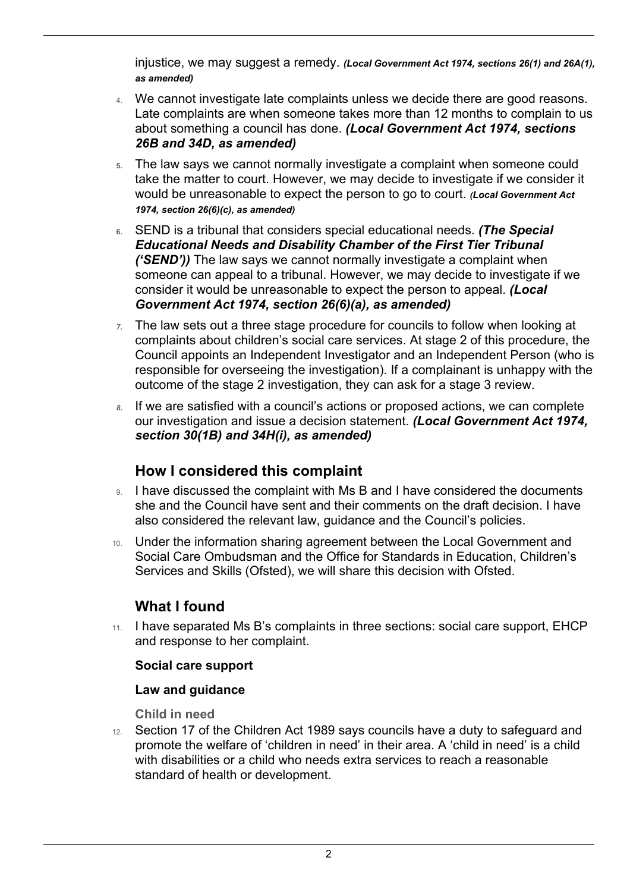injustice, we may suggest a remedy. *(Local Government Act 1974, sections 26(1) and 26A(1), as amended)* 

- Late complaints are when someone takes more than 12 months to complain to us 4. We cannot investigate late complaints unless we decide there are good reasons. about something a council has done. *(Local Government Act 1974, sections 26B and 34D, as amended)*
- would be unreasonable to expect the person to go to court. *(Local Government Act*  **5.** The law says we cannot normally investigate a complaint when someone could take the matter to court. However, we may decide to investigate if we consider it *1974, section 26(6)(c), as amended)*
- someone can appeal to a tribunal. However, we may decide to investigate if we **6.** SEND is a tribunal that considers special educational needs. *(The Special Educational Needs and Disability Chamber of the First Tier Tribunal ('SEND'))* The law says we cannot normally investigate a complaint when consider it would be unreasonable to expect the person to appeal. *(Local Government Act 1974, section 26(6)(a), as amended)*
- complaints about children's social care services. At stage 2 of this procedure, the *7.* The law sets out a three stage procedure for councils to follow when looking at Council appoints an Independent Investigator and an Independent Person (who is responsible for overseeing the investigation). If a complainant is unhappy with the outcome of the stage 2 investigation, they can ask for a stage 3 review.
- our investigation and issue a decision statement. *(Local Government Act 1974,*  If we are satisfied with a council's actions or proposed actions, we can complete *section 30(1B) and 34H(i), as amended)*

# **How I considered this complaint**

- she and the Council have sent and their comments on the draft decision. I have 9. I have discussed the complaint with Ms B and I have considered the documents also considered the relevant law, guidance and the Council's policies.
- 10. Under the information sharing agreement between the Local Government and Social Care Ombudsman and the Office for Standards in Education, Children's Services and Skills (Ofsted), we will share this decision with Ofsted.

# **What I found**

 $\overline{a}$ 

11. I have separated Ms B's complaints in three sections: social care support, EHCP and response to her complaint.

#### **Social care support**

#### **Law and guidance**

**Child in need** 

12. Section 17 of the Children Act 1989 says councils have a duty to safeguard and promote the welfare of 'children in need' in their area. A 'child in need' is a child with disabilities or a child who needs extra services to reach a reasonable standard of health or development.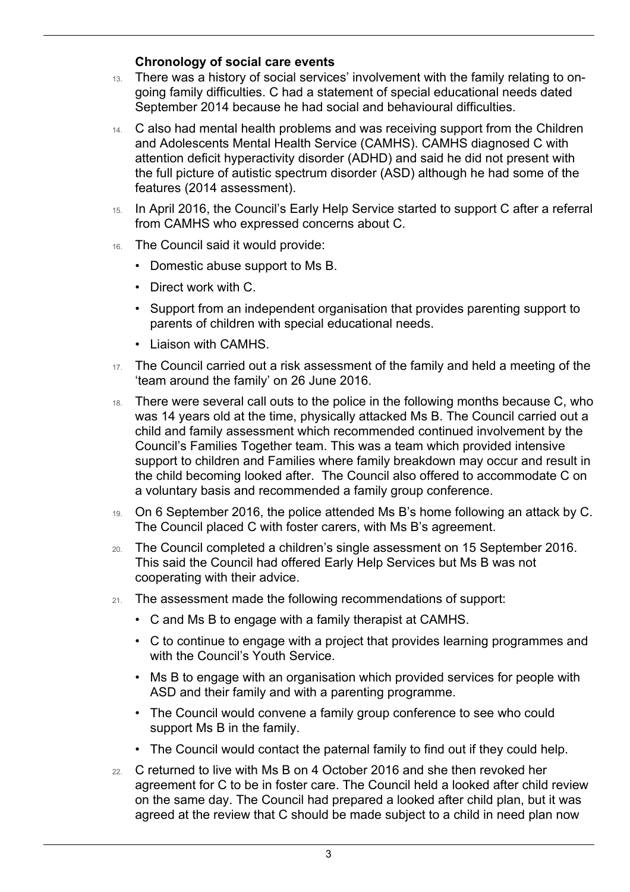#### **Chronology of social care events**

 $\overline{a}$ 

- 13. There was a history of social services' involvement with the family relating to ongoing family difficulties. C had a statement of special educational needs dated September 2014 because he had social and behavioural difficulties.
- the full picture of autistic spectrum disorder (ASD) although he had some of the 14. C also had mental health problems and was receiving support from the Children and Adolescents Mental Health Service (CAMHS). CAMHS diagnosed C with attention deficit hyperactivity disorder (ADHD) and said he did not present with features (2014 assessment).
- 15. In April 2016, the Council's Early Help Service started to support C after a referral from CAMHS who expressed concerns about C.
- 16. The Council said it would provide:
	- Domestic abuse support to Ms B.
	- Direct work with C.
	- Support from an independent organisation that provides parenting support to parents of children with special educational needs.
	- Liaison with CAMHS.
- 17. The Council carried out a risk assessment of the family and held a meeting of the 'team around the family' on 26 June 2016.
- was 14 years old at the time, physically attacked Ms B. The Council carried out a 18. There were several call outs to the police in the following months because C, who child and family assessment which recommended continued involvement by the Council's Families Together team. This was a team which provided intensive support to children and Families where family breakdown may occur and result in the child becoming looked after. The Council also offered to accommodate C on a voluntary basis and recommended a family group conference.
- The Council placed C with foster carers, with Ms B's agreement. 19. On 6 September 2016, the police attended Ms B's home following an attack by C.
- 20. The Council completed a children's single assessment on 15 September 2016. This said the Council had offered Early Help Services but Ms B was not cooperating with their advice.
- 21. The assessment made the following recommendations of support:
	- C and Ms B to engage with a family therapist at CAMHS.
	- C to continue to engage with a project that provides learning programmes and with the Council's Youth Service.
	- Ms B to engage with an organisation which provided services for people with ASD and their family and with a parenting programme.
	- • The Council would convene a family group conference to see who could support Ms B in the family.
	- The Council would contact the paternal family to find out if they could help.
- 22. C returned to live with Ms B on 4 October 2016 and she then revoked her agreement for C to be in foster care. The Council held a looked after child review on the same day. The Council had prepared a looked after child plan, but it was agreed at the review that C should be made subject to a child in need plan now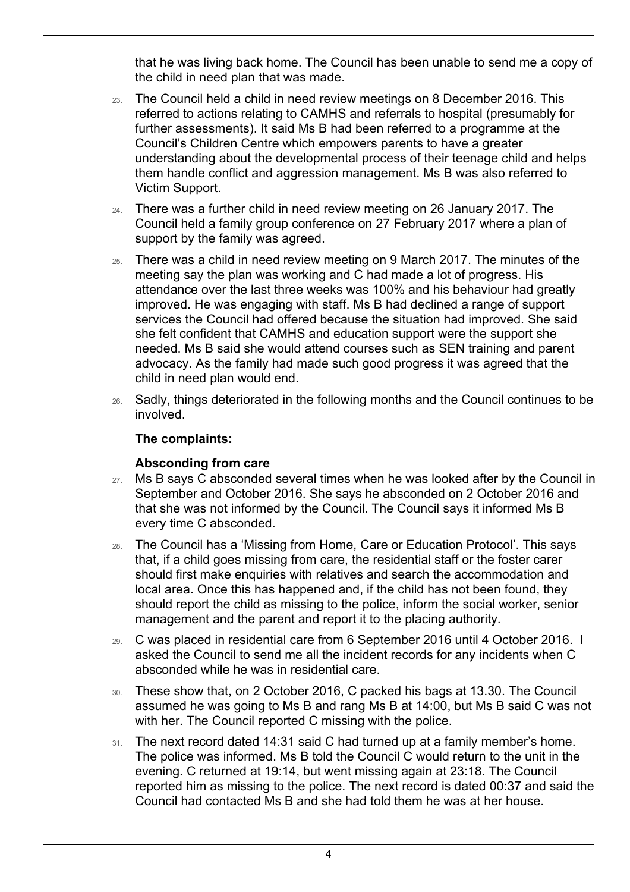that he was living back home. The Council has been unable to send me a copy of the child in need plan that was made.

- further assessments). It said Ms B had been referred to a programme at the 23. The Council held a child in need review meetings on 8 December 2016. This referred to actions relating to CAMHS and referrals to hospital (presumably for Council's Children Centre which empowers parents to have a greater understanding about the developmental process of their teenage child and helps them handle conflict and aggression management. Ms B was also referred to Victim Support.
- Council held a family group conference on 27 February 2017 where a plan of 24. There was a further child in need review meeting on 26 January 2017. The support by the family was agreed.
- meeting say the plan was working and C had made a lot of progress. His 25. There was a child in need review meeting on 9 March 2017. The minutes of the attendance over the last three weeks was 100% and his behaviour had greatly improved. He was engaging with staff. Ms B had declined a range of support services the Council had offered because the situation had improved. She said she felt confident that CAMHS and education support were the support she needed. Ms B said she would attend courses such as SEN training and parent advocacy. As the family had made such good progress it was agreed that the child in need plan would end.
- 26. Sadly, things deteriorated in the following months and the Council continues to be involved.

### **The complaints:**

 $\overline{a}$ 

#### **Absconding from care**

- 27. Ms B says C absconded several times when he was looked after by the Council in September and October 2016. She says he absconded on 2 October 2016 and that she was not informed by the Council. The Council says it informed Ms B every time C absconded.
- management and the parent and report it to the placing authority. 28. The Council has a 'Missing from Home, Care or Education Protocol'. This says that, if a child goes missing from care, the residential staff or the foster carer should first make enquiries with relatives and search the accommodation and local area. Once this has happened and, if the child has not been found, they should report the child as missing to the police, inform the social worker, senior
- 29. C was placed in residential care from 6 September 2016 until 4 October 2016. I asked the Council to send me all the incident records for any incidents when C absconded while he was in residential care.
- with her. The Council reported C missing with the police. 30. These show that, on 2 October 2016, C packed his bags at 13.30. The Council assumed he was going to Ms B and rang Ms B at 14:00, but Ms B said C was not
- 31. The next record dated 14:31 said C had turned up at a family member's home. The police was informed. Ms B told the Council C would return to the unit in the evening. C returned at 19:14, but went missing again at 23:18. The Council reported him as missing to the police. The next record is dated 00:37 and said the Council had contacted Ms B and she had told them he was at her house.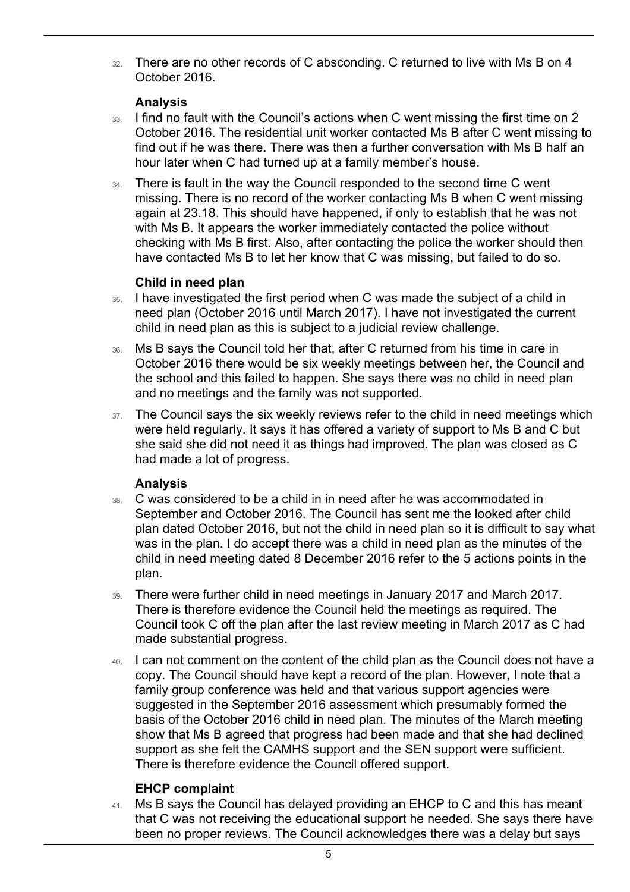32. There are no other records of C absconding. C returned to live with Ms B on 4 October 2016.

#### **Analysis**

 $\overline{a}$ 

- 33. I find no fault with the Council's actions when C went missing the first time on 2 October 2016. The residential unit worker contacted Ms B after C went missing to find out if he was there. There was then a further conversation with Ms B half an hour later when C had turned up at a family member's house.
- have contacted Ms B to let her know that C was missing, but failed to do so. 34. There is fault in the way the Council responded to the second time C went missing. There is no record of the worker contacting Ms B when C went missing again at 23.18. This should have happened, if only to establish that he was not with Ms B. It appears the worker immediately contacted the police without checking with Ms B first. Also, after contacting the police the worker should then

#### **Child in need plan**

- 35. I have investigated the first period when C was made the subject of a child in need plan (October 2016 until March 2017). I have not investigated the current child in need plan as this is subject to a judicial review challenge.
- 36. Ms B says the Council told her that, after C returned from his time in care in October 2016 there would be six weekly meetings between her, the Council and the school and this failed to happen. She says there was no child in need plan and no meetings and the family was not supported.
- 37. The Council says the six weekly reviews refer to the child in need meetings which she said she did not need it as things had improved. The plan was closed as C were held regularly. It says it has offered a variety of support to Ms B and C but had made a lot of progress.

#### **Analysis**

- was in the plan. I do accept there was a child in need plan as the minutes of the child in need meeting dated 8 December 2016 refer to the 5 actions points in the 38. C was considered to be a child in in need after he was accommodated in September and October 2016. The Council has sent me the looked after child plan dated October 2016, but not the child in need plan so it is difficult to say what plan.
- 39. There were further child in need meetings in January 2017 and March 2017. There is therefore evidence the Council held the meetings as required. The Council took C off the plan after the last review meeting in March 2017 as C had made substantial progress.
- 40. I can not comment on the content of the child plan as the Council does not have a copy. The Council should have kept a record of the plan. However, I note that a family group conference was held and that various support agencies were suggested in the September 2016 assessment which presumably formed the basis of the October 2016 child in need plan. The minutes of the March meeting show that Ms B agreed that progress had been made and that she had declined support as she felt the CAMHS support and the SEN support were sufficient. There is therefore evidence the Council offered support.

## **EHCP complaint**

 been no proper reviews. The Council acknowledges there was a delay but says 41. Ms B says the Council has delayed providing an EHCP to C and this has meant that C was not receiving the educational support he needed. She says there have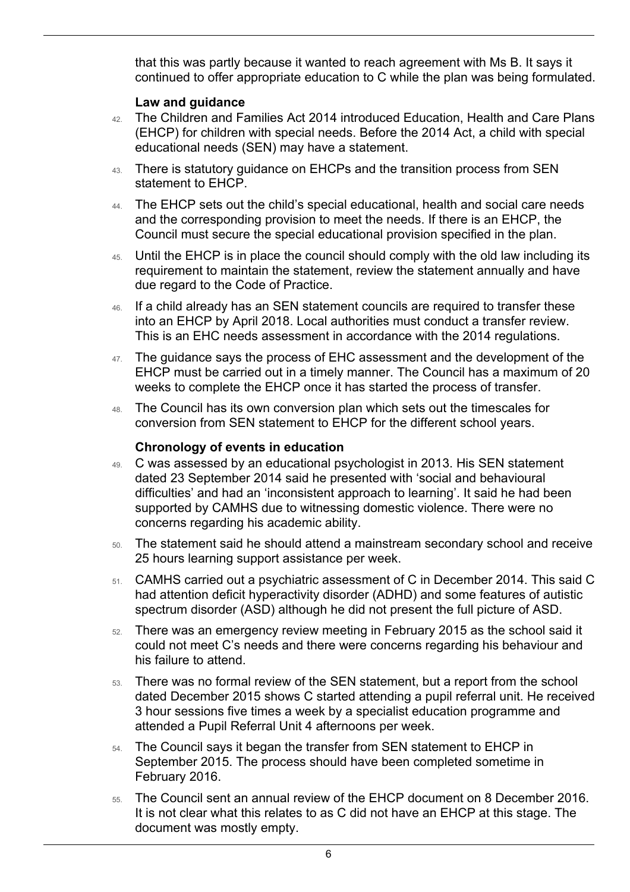that this was partly because it wanted to reach agreement with Ms B. It says it continued to offer appropriate education to C while the plan was being formulated.

#### **Law and guidance**

 $\overline{a}$ 

- (EHCP) for children with special needs. Before the 2014 Act, a child with special 42. The Children and Families Act 2014 introduced Education, Health and Care Plans educational needs (SEN) may have a statement.
- 43. There is statutory guidance on EHCPs and the transition process from SEN statement to EHCP.
- 44. The EHCP sets out the child's special educational, health and social care needs and the corresponding provision to meet the needs. If there is an EHCP, the Council must secure the special educational provision specified in the plan.
- 45. Until the EHCP is in place the council should comply with the old law including its requirement to maintain the statement, review the statement annually and have due regard to the Code of Practice.
- 46. If a child already has an SEN statement councils are required to transfer these into an EHCP by April 2018. Local authorities must conduct a transfer review. This is an EHC needs assessment in accordance with the 2014 regulations.
- 47. The guidance says the process of EHC assessment and the development of the EHCP must be carried out in a timely manner. The Council has a maximum of 20 weeks to complete the EHCP once it has started the process of transfer.
- conversion from SEN statement to EHCP for the different school years. 48. The Council has its own conversion plan which sets out the timescales for

#### **Chronology of events in education**

- 49. C was assessed by an educational psychologist in 2013. His SEN statement dated 23 September 2014 said he presented with 'social and behavioural difficulties' and had an 'inconsistent approach to learning'. It said he had been supported by CAMHS due to witnessing domestic violence. There were no concerns regarding his academic ability.
- 50. The statement said he should attend a mainstream secondary school and receive 25 hours learning support assistance per week.
- 51. CAMHS carried out a psychiatric assessment of C in December 2014. This said C had attention deficit hyperactivity disorder (ADHD) and some features of autistic spectrum disorder (ASD) although he did not present the full picture of ASD.
- 52. There was an emergency review meeting in February 2015 as the school said it could not meet C's needs and there were concerns regarding his behaviour and his failure to attend.
- attended a Pupil Referral Unit 4 afternoons per week. 53. There was no formal review of the SEN statement, but a report from the school dated December 2015 shows C started attending a pupil referral unit. He received 3 hour sessions five times a week by a specialist education programme and
- 54. The Council says it began the transfer from SEN statement to EHCP in September 2015. The process should have been completed sometime in February 2016.
- 55. The Council sent an annual review of the EHCP document on 8 December 2016. It is not clear what this relates to as C did not have an EHCP at this stage. The document was mostly empty.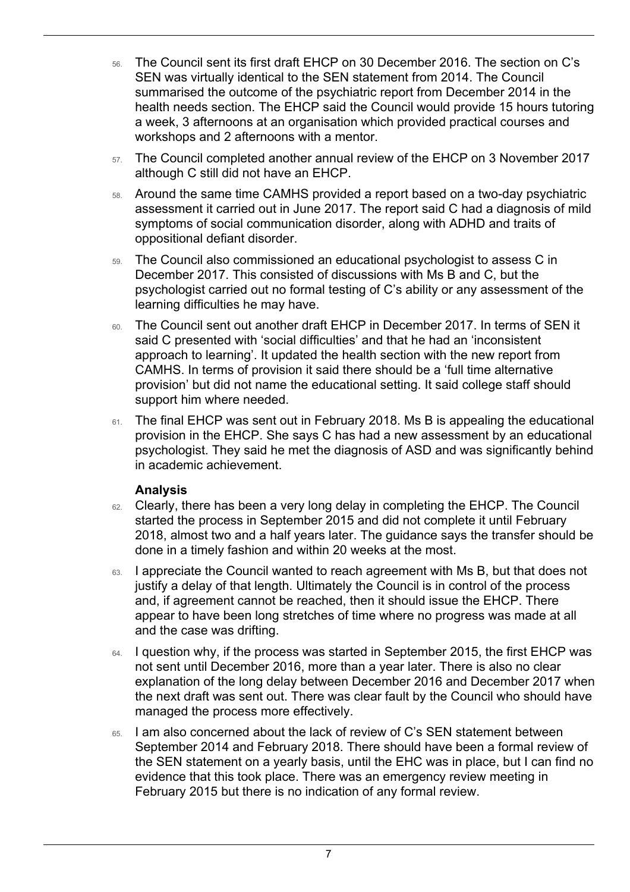- summarised the outcome of the psychiatric report from December 2014 in the health needs section. The EHCP said the Council would provide 15 hours tutoring workshops and 2 afternoons with a mentor. 56. The Council sent its first draft EHCP on 30 December 2016. The section on C's SEN was virtually identical to the SEN statement from 2014. The Council a week, 3 afternoons at an organisation which provided practical courses and
- 57. The Council completed another annual review of the EHCP on 3 November 2017 although C still did not have an EHCP.
- 58. Around the same time CAMHS provided a report based on a two-day psychiatric assessment it carried out in June 2017. The report said C had a diagnosis of mild symptoms of social communication disorder, along with ADHD and traits of oppositional defiant disorder.
- 59. The Council also commissioned an educational psychologist to assess C in December 2017. This consisted of discussions with Ms B and C, but the psychologist carried out no formal testing of C's ability or any assessment of the learning difficulties he may have.
- approach to learning'. It updated the health section with the new report from CAMHS. In terms of provision it said there should be a 'full time alternative 60. The Council sent out another draft EHCP in December 2017. In terms of SEN it said C presented with 'social difficulties' and that he had an 'inconsistent provision' but did not name the educational setting. It said college staff should support him where needed.
- 61. The final EHCP was sent out in February 2018. Ms B is appealing the educational provision in the EHCP. She says C has had a new assessment by an educational psychologist. They said he met the diagnosis of ASD and was significantly behind in academic achievement.

#### **Analysis**

 $\overline{a}$ 

- 62. Clearly, there has been a very long delay in completing the EHCP. The Council started the process in September 2015 and did not complete it until February 2018, almost two and a half years later. The guidance says the transfer should be done in a timely fashion and within 20 weeks at the most.
- 63. I appreciate the Council wanted to reach agreement with Ms B, but that does not justify a delay of that length. Ultimately the Council is in control of the process and, if agreement cannot be reached, then it should issue the EHCP. There appear to have been long stretches of time where no progress was made at all and the case was drifting.
- 64. I question why, if the process was started in September 2015, the first EHCP was not sent until December 2016, more than a year later. There is also no clear explanation of the long delay between December 2016 and December 2017 when the next draft was sent out. There was clear fault by the Council who should have managed the process more effectively.
- 65. I am also concerned about the lack of review of C's SEN statement between September 2014 and February 2018. There should have been a formal review of the SEN statement on a yearly basis, until the EHC was in place, but I can find no evidence that this took place. There was an emergency review meeting in February 2015 but there is no indication of any formal review.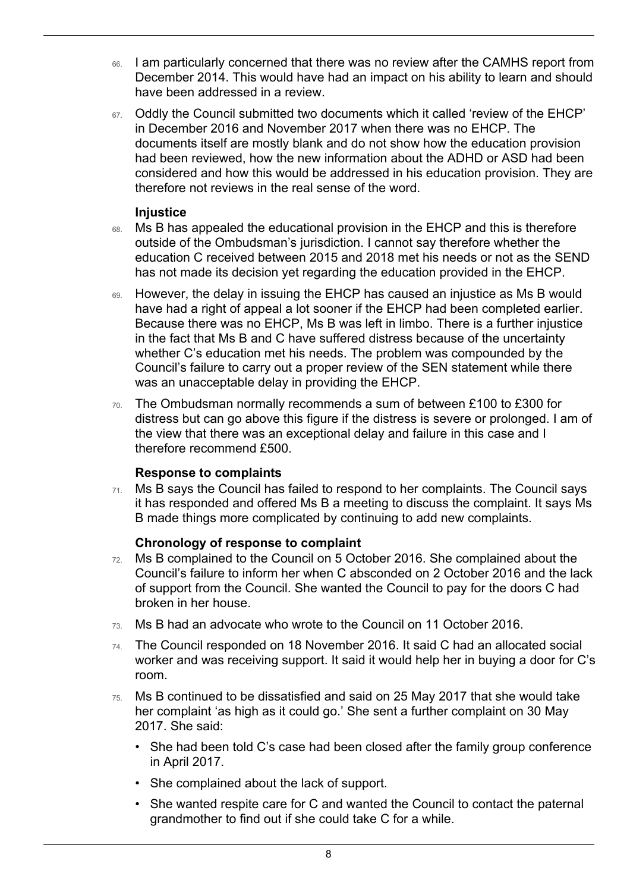- 66. I am particularly concerned that there was no review after the CAMHS report from December 2014. This would have had an impact on his ability to learn and should have been addressed in a review.
- 67. Oddly the Council submitted two documents which it called 'review of the EHCP' in December 2016 and November 2017 when there was no EHCP. The documents itself are mostly blank and do not show how the education provision had been reviewed, how the new information about the ADHD or ASD had been considered and how this would be addressed in his education provision. They are therefore not reviews in the real sense of the word.

#### **Injustice**

 $\overline{a}$ 

- 68. Ms B has appealed the educational provision in the EHCP and this is therefore outside of the Ombudsman's jurisdiction. I cannot say therefore whether the education C received between 2015 and 2018 met his needs or not as the SEND has not made its decision yet regarding the education provided in the EHCP.
- whether C's education met his needs. The problem was compounded by the Council's failure to carry out a proper review of the SEN statement while there 69. However, the delay in issuing the EHCP has caused an injustice as Ms B would have had a right of appeal a lot sooner if the EHCP had been completed earlier. Because there was no EHCP, Ms B was left in limbo. There is a further injustice in the fact that Ms B and C have suffered distress because of the uncertainty was an unacceptable delay in providing the EHCP.
- 70. The Ombudsman normally recommends a sum of between £100 to £300 for distress but can go above this figure if the distress is severe or prolonged. I am of the view that there was an exceptional delay and failure in this case and I therefore recommend £500.

#### **Response to complaints**

 $71.$  Ms B says the Council has failed to respond to her complaints. The Council says B made things more complicated by continuing to add new complaints. it has responded and offered Ms B a meeting to discuss the complaint. It says Ms

#### **Chronology of response to complaint**

- 72. Ms B complained to the Council on 5 October 2016. She complained about the Council's failure to inform her when C absconded on 2 October 2016 and the lack of support from the Council. She wanted the Council to pay for the doors C had broken in her house.
- 73. Ms B had an advocate who wrote to the Council on 11 October 2016.
- worker and was receiving support. It said it would help her in buying a door for C's 74. The Council responded on 18 November 2016. It said C had an allocated social room.
- 75. Ms B continued to be dissatisfied and said on 25 May 2017 that she would take her complaint 'as high as it could go.' She sent a further complaint on 30 May 2017. She said:
	- She had been told C's case had been closed after the family group conference in April 2017.
	- She complained about the lack of support.
	- She wanted respite care for C and wanted the Council to contact the paternal grandmother to find out if she could take C for a while.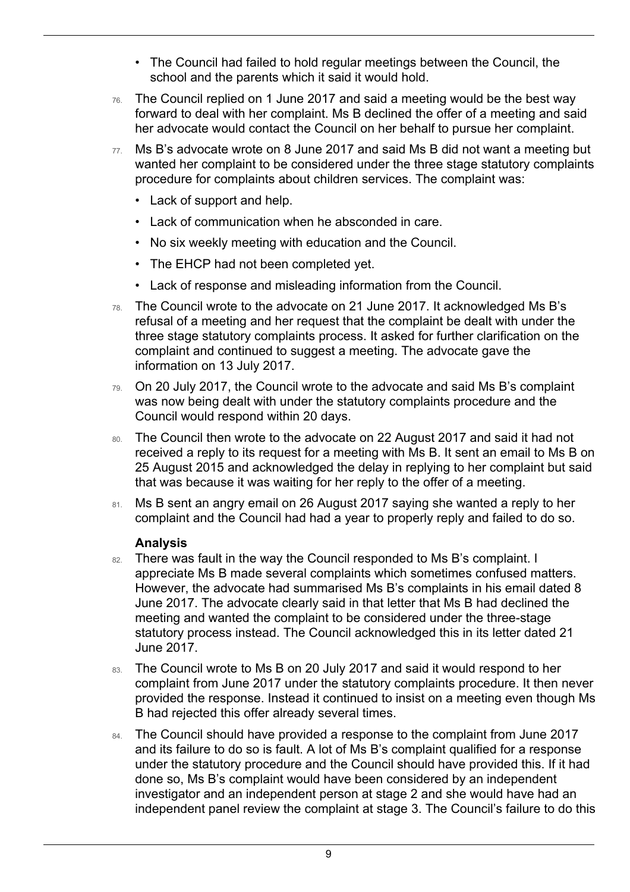- The Council had failed to hold regular meetings between the Council, the school and the parents which it said it would hold.
- 76. The Council replied on 1 June 2017 and said a meeting would be the best way forward to deal with her complaint. Ms B declined the offer of a meeting and said her advocate would contact the Council on her behalf to pursue her complaint.
- 77. Ms B's advocate wrote on 8 June 2017 and said Ms B did not want a meeting but wanted her complaint to be considered under the three stage statutory complaints procedure for complaints about children services. The complaint was:
	- Lack of support and help.

 $\overline{a}$ 

- Lack of communication when he absconded in care.
- No six weekly meeting with education and the Council.
- The EHCP had not been completed yet.
- Lack of response and misleading information from the Council.
- three stage statutory complaints process. It asked for further clarification on the 78. The Council wrote to the advocate on 21 June 2017. It acknowledged Ms B's refusal of a meeting and her request that the complaint be dealt with under the complaint and continued to suggest a meeting. The advocate gave the information on 13 July 2017.
- was now being dealt with under the statutory complaints procedure and the 79. On 20 July 2017, the Council wrote to the advocate and said Ms B's complaint Council would respond within 20 days.
- 25 August 2015 and acknowledged the delay in replying to her complaint but said that was because it was waiting for her reply to the offer of a meeting. 80. The Council then wrote to the advocate on 22 August 2017 and said it had not received a reply to its request for a meeting with Ms B. It sent an email to Ms B on
- 81. Ms B sent an angry email on 26 August 2017 saying she wanted a reply to her complaint and the Council had had a year to properly reply and failed to do so.

#### **Analysis**

- However, the advocate had summarised Ms B's complaints in his email dated 8 June 2017. The advocate clearly said in that letter that Ms B had declined the 82. There was fault in the way the Council responded to Ms B's complaint. I appreciate Ms B made several complaints which sometimes confused matters. meeting and wanted the complaint to be considered under the three-stage statutory process instead. The Council acknowledged this in its letter dated 21 June 2017.
- 83. The Council wrote to Ms B on 20 July 2017 and said it would respond to her complaint from June 2017 under the statutory complaints procedure. It then never provided the response. Instead it continued to insist on a meeting even though Ms B had rejected this offer already several times.
- 84. The Council should have provided a response to the complaint from June 2017 and its failure to do so is fault. A lot of Ms B's complaint qualified for a response under the statutory procedure and the Council should have provided this. If it had done so, Ms B's complaint would have been considered by an independent investigator and an independent person at stage 2 and she would have had an independent panel review the complaint at stage 3. The Council's failure to do this